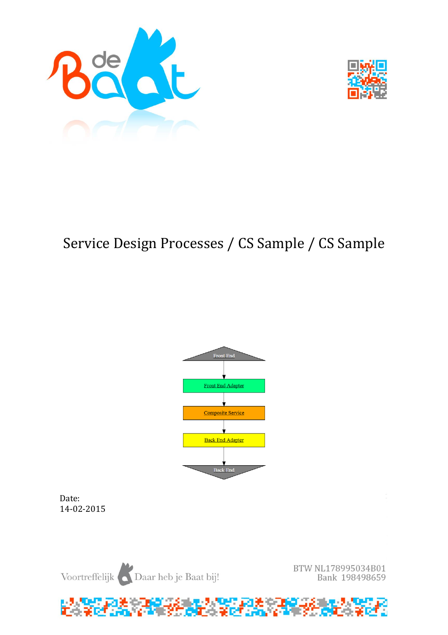



# Service Design Processes / CS Sample / CS Sample



Date: 14-02-2015

Voortreffelijk Daar heb je Baat bij!

BTW NL178995034B01 Bank 198498659

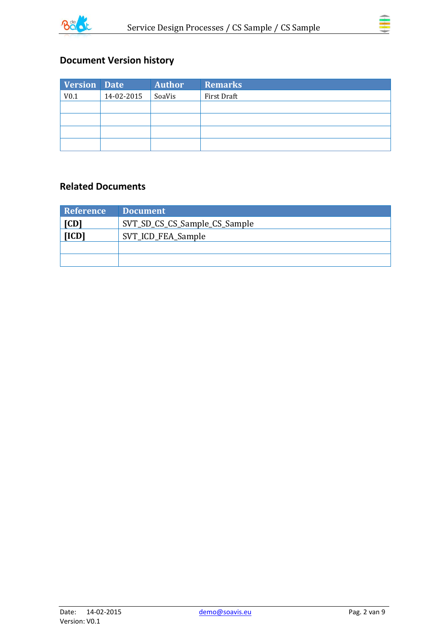



# **Document Version history**

| Version Date     |            | <b>Author</b> | <b>Remarks</b> |
|------------------|------------|---------------|----------------|
| V <sub>0.1</sub> | 14-02-2015 | SoaVis        | First Draft    |
|                  |            |               |                |
|                  |            |               |                |
|                  |            |               |                |
|                  |            |               |                |

### **Related Documents**

| <b>Reference</b>            | Document                      |
|-----------------------------|-------------------------------|
| [CD]                        | SVT_SD_CS_CS_Sample_CS_Sample |
| [ICD]<br>SVT_ICD_FEA_Sample |                               |
|                             |                               |
|                             |                               |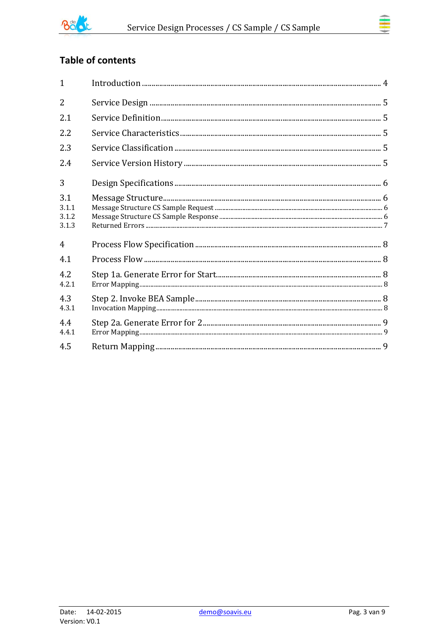

# **Table of contents**

| $\mathbf{1}$                   |  |
|--------------------------------|--|
| $\overline{2}$                 |  |
| 2.1                            |  |
| 2.2                            |  |
| 2.3                            |  |
| 2.4                            |  |
| 3                              |  |
| 3.1<br>3.1.1<br>3.1.2<br>3.1.3 |  |
| $\overline{4}$                 |  |
| 4.1                            |  |
| 4.2<br>4.2.1                   |  |
| 4.3<br>4.3.1                   |  |
| 4.4<br>4.4.1                   |  |
| 4.5                            |  |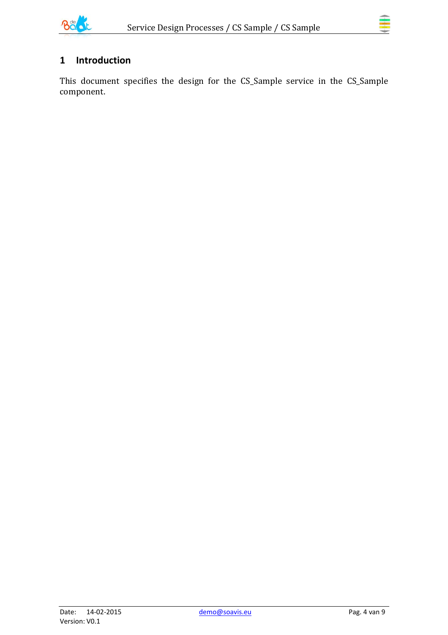

# <span id="page-3-0"></span>**1 Introduction**

This document specifies the design for the CS\_Sample service in the CS\_Sample component.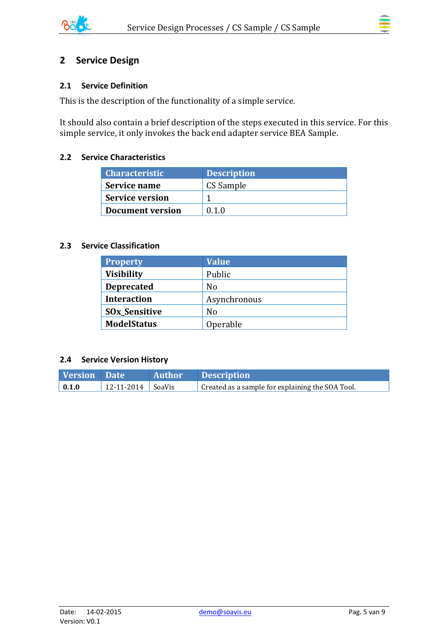

## <span id="page-4-0"></span>**2 Service Design**

#### <span id="page-4-1"></span>**2.1 Service Definition**

This is the description of the functionality of a simple service.

It should also contain a brief description of the steps executed in this service. For this simple service, it only invokes the back end adapter service BEA Sample.

#### <span id="page-4-2"></span>**2.2 Service Characteristics**

| <b>Characteristic</b>  | <b>Description</b> |
|------------------------|--------------------|
| Service name           | CS Sample          |
| <b>Service version</b> |                    |
| Document version       | 0.1.0              |

#### <span id="page-4-3"></span>**2.3 Service Classification**

| <b>Property</b>                 | <b>Value</b>   |
|---------------------------------|----------------|
| <b>Visibility</b>               | Public         |
| <b>Deprecated</b>               | N <sub>0</sub> |
| <b>Interaction</b>              | Asynchronous   |
| <b>SO<sub>x</sub>_Sensitive</b> | No             |
| <b>ModelStatus</b>              | Operable       |

#### <span id="page-4-4"></span>**2.4 Service Version History**

| <b>Version</b> Date |                       | Author Description                               |
|---------------------|-----------------------|--------------------------------------------------|
| $\vert 0.1.0 \vert$ | $12-11-2014$   SoaVis | Created as a sample for explaining the SOA Tool. |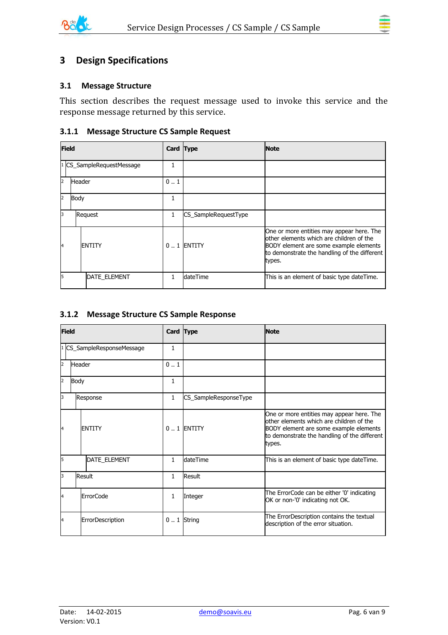

# <span id="page-5-0"></span>**3 Design Specifications**

#### <span id="page-5-1"></span>**3.1 Message Structure**

This section describes the request message used to invoke this service and the response message returned by this service.

#### <span id="page-5-2"></span>**3.1.1 Message Structure CS Sample Request**

|                | <b>Field</b>              | Card Type |                      | <b>Note</b>                                                                                                                                                                               |
|----------------|---------------------------|-----------|----------------------|-------------------------------------------------------------------------------------------------------------------------------------------------------------------------------------------|
|                | 1 CS_SampleRequestMessage | 1         |                      |                                                                                                                                                                                           |
| $\overline{2}$ | Header                    | 01        |                      |                                                                                                                                                                                           |
| 2              | Body                      |           |                      |                                                                                                                                                                                           |
| 3              | Request                   | 1         | CS_SampleRequestType |                                                                                                                                                                                           |
| 14             | <b>IENTITY</b>            |           | $0.1$ ENTITY         | One or more entities may appear here. The<br>other elements which are children of the<br>BODY element are some example elements<br>to demonstrate the handling of the different<br>types. |
| l5             | <b>DATE ELEMENT</b>       | 1         | <b>dateTime</b>      | This is an element of basic type dateTime.                                                                                                                                                |

#### <span id="page-5-3"></span>**3.1.2 Message Structure CS Sample Response**

| <b>Field</b>   |             | Card Type                |              | <b>Note</b>           |                                                                                                                                                                                           |
|----------------|-------------|--------------------------|--------------|-----------------------|-------------------------------------------------------------------------------------------------------------------------------------------------------------------------------------------|
|                |             | CS_SampleResponseMessage | $\mathbf{1}$ |                       |                                                                                                                                                                                           |
| $\overline{2}$ | Header      |                          | 0.1          |                       |                                                                                                                                                                                           |
| $\overline{2}$ | <b>Body</b> |                          | 1            |                       |                                                                                                                                                                                           |
| 3              |             | Response                 | $\mathbf{1}$ | CS_SampleResponseType |                                                                                                                                                                                           |
| 14             |             | <b>ENTITY</b>            |              | $0.1$ ENTITY          | One or more entities may appear here. The<br>other elements which are children of the<br>BODY element are some example elements<br>to demonstrate the handling of the different<br>types. |
| 5              |             | DATE_ELEMENT             | $\mathbf{1}$ | dateTime              | This is an element of basic type dateTime.                                                                                                                                                |
| 3              |             | Result                   | 1            | Result                |                                                                                                                                                                                           |
| 4              |             | <b>ErrorCode</b>         | $\mathbf{1}$ | Integer               | The ErrorCode can be either '0' indicating<br>OK or non-'0' indicating not OK.                                                                                                            |
| 4              |             | ErrorDescription         |              | $0.1$ String          | The ErrorDescription contains the textual<br>description of the error situation.                                                                                                          |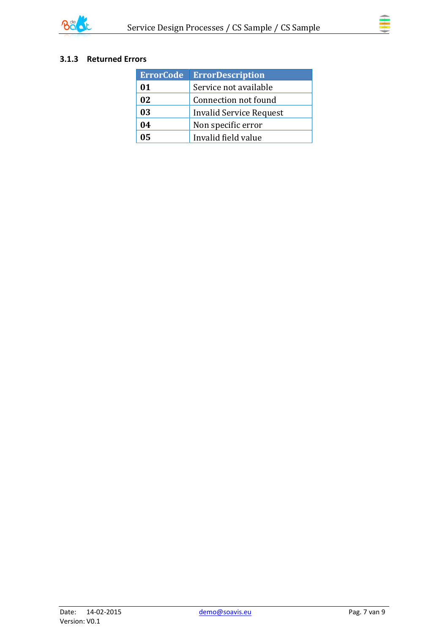

### <span id="page-6-0"></span>**3.1.3 Returned Errors**

| <b>ErrorCode</b> | <b>ErrorDescription</b> |  |
|------------------|-------------------------|--|
| 01               | Service not available   |  |
| 02               | Connection not found    |  |
| 03               | Invalid Service Request |  |
| 04               | Non specific error      |  |
| 05               | Invalid field value     |  |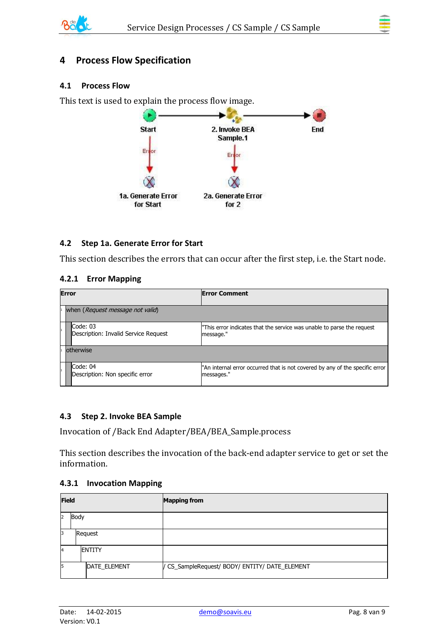

# <span id="page-7-0"></span>**4 Process Flow Specification**

#### <span id="page-7-1"></span>**4.1 Process Flow**

This text is used to explain the process flow image.



#### <span id="page-7-2"></span>**4.2 Step 1a. Generate Error for Start**

This section describes the errors that can occur after the first step, i.e. the Start node.

#### <span id="page-7-3"></span>**4.2.1 Error Mapping**

| <b>Error</b> |                                                  | <b>Error Comment</b>                                                                       |  |  |
|--------------|--------------------------------------------------|--------------------------------------------------------------------------------------------|--|--|
|              | when (Request message not valid)                 |                                                                                            |  |  |
|              | Code: 03<br>Description: Invalid Service Request | "This error indicates that the service was unable to parse the request<br>message."        |  |  |
|              | lotherwise                                       |                                                                                            |  |  |
|              | Code: 04<br>Description: Non specific error      | "An internal error occurred that is not covered by any of the specific error<br>messages." |  |  |

#### <span id="page-7-4"></span>**4.3 Step 2. Invoke BEA Sample**

Invocation of /Back End Adapter/BEA/BEA\_Sample.process

This section describes the invocation of the back-end adapter service to get or set the information.

#### <span id="page-7-5"></span>**4.3.1 Invocation Mapping**

| <b>Field</b>           |                | <b>Mapping from</b>                            |  |
|------------------------|----------------|------------------------------------------------|--|
| Body<br>$\overline{2}$ |                |                                                |  |
| 13                     | Request        |                                                |  |
| 14                     | <b>IENTITY</b> |                                                |  |
| 5                      | DATE_ELEMENT   | / CS_SampleRequest/ BODY/ ENTITY/ DATE_ELEMENT |  |